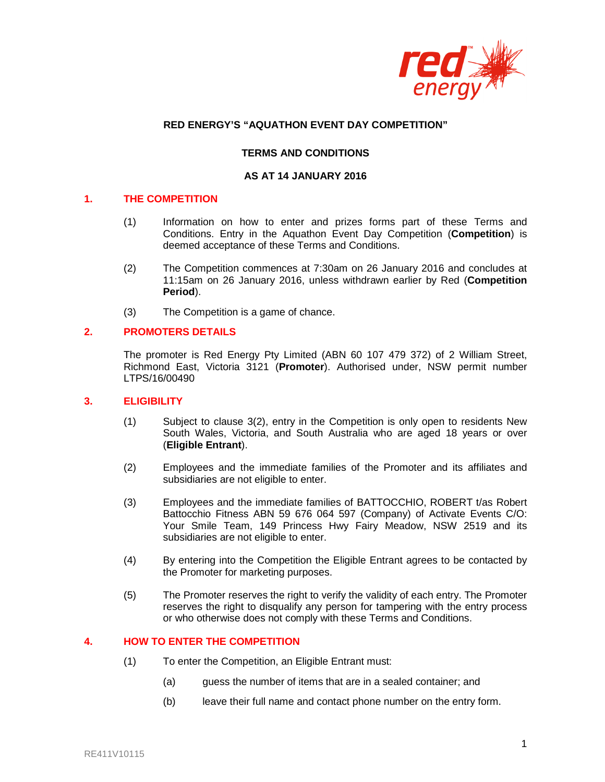

## **RED ENERGY'S "AQUATHON EVENT DAY COMPETITION"**

## **TERMS AND CONDITIONS**

## **AS AT 14 JANUARY 2016**

## **1. THE COMPETITION**

- (1) Information on how to enter and prizes forms part of these Terms and Conditions. Entry in the Aquathon Event Day Competition (**Competition**) is deemed acceptance of these Terms and Conditions.
- (2) The Competition commences at 7:30am on 26 January 2016 and concludes at 11:15am on 26 January 2016, unless withdrawn earlier by Red (**Competition Period**).
- (3) The Competition is a game of chance.

## **2. PROMOTERS DETAILS**

The promoter is Red Energy Pty Limited (ABN 60 107 479 372) of 2 William Street, Richmond East, Victoria 3121 (**Promoter**). Authorised under, NSW permit number LTPS/16/00490

#### **3. ELIGIBILITY**

- (1) Subject to clause 3(2), entry in the Competition is only open to residents New South Wales, Victoria, and South Australia who are aged 18 years or over (**Eligible Entrant**).
- (2) Employees and the immediate families of the Promoter and its affiliates and subsidiaries are not eligible to enter.
- (3) Employees and the immediate families of BATTOCCHIO, ROBERT t/as Robert Battocchio Fitness ABN 59 676 064 597 (Company) of Activate Events C/O: Your Smile Team, 149 Princess Hwy Fairy Meadow, NSW 2519 and its subsidiaries are not eligible to enter.
- (4) By entering into the Competition the Eligible Entrant agrees to be contacted by the Promoter for marketing purposes.
- (5) The Promoter reserves the right to verify the validity of each entry. The Promoter reserves the right to disqualify any person for tampering with the entry process or who otherwise does not comply with these Terms and Conditions.

## **4. HOW TO ENTER THE COMPETITION**

- (1) To enter the Competition, an Eligible Entrant must:
	- (a) guess the number of items that are in a sealed container; and
	- (b) leave their full name and contact phone number on the entry form.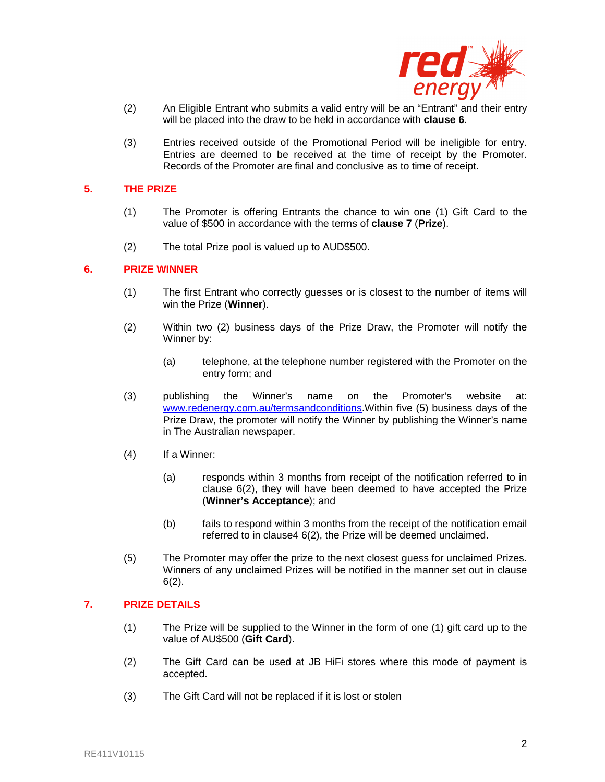

- (2) An Eligible Entrant who submits a valid entry will be an "Entrant" and their entry will be placed into the draw to be held in accordance with **clause 6**.
- (3) Entries received outside of the Promotional Period will be ineligible for entry. Entries are deemed to be received at the time of receipt by the Promoter. Records of the Promoter are final and conclusive as to time of receipt.

#### **5. THE PRIZE**

- (1) The Promoter is offering Entrants the chance to win one (1) Gift Card to the value of \$500 in accordance with the terms of **clause 7** (**Prize**).
- (2) The total Prize pool is valued up to AUD\$500.

#### **6. PRIZE WINNER**

- (1) The first Entrant who correctly guesses or is closest to the number of items will win the Prize (**Winner**).
- (2) Within two (2) business days of the Prize Draw, the Promoter will notify the Winner by:
	- (a) telephone, at the telephone number registered with the Promoter on the entry form; and
- (3) publishing the Winner's name on the Promoter's website at: www.redenergy.com.au/termsandconditions.Within five (5) business days of the Prize Draw, the promoter will notify the Winner by publishing the Winner's name in The Australian newspaper.
- (4) If a Winner:
	- (a) responds within 3 months from receipt of the notification referred to in clause 6(2), they will have been deemed to have accepted the Prize (**Winner's Acceptance**); and
	- (b) fails to respond within 3 months from the receipt of the notification email referred to in clause4 6(2), the Prize will be deemed unclaimed.
- (5) The Promoter may offer the prize to the next closest guess for unclaimed Prizes. Winners of any unclaimed Prizes will be notified in the manner set out in clause 6(2).

## **7. PRIZE DETAILS**

- (1) The Prize will be supplied to the Winner in the form of one (1) gift card up to the value of AU\$500 (**Gift Card**).
- (2) The Gift Card can be used at JB HiFi stores where this mode of payment is accepted.
- (3) The Gift Card will not be replaced if it is lost or stolen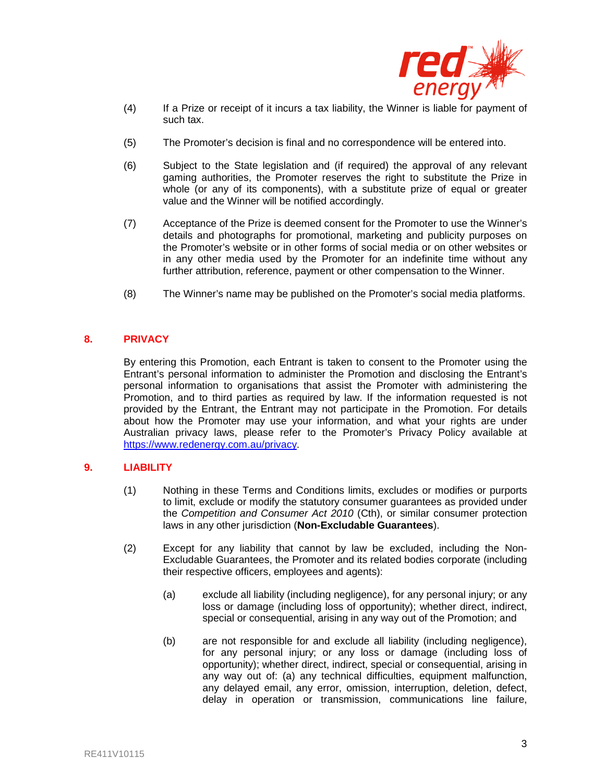

- (4) If a Prize or receipt of it incurs a tax liability, the Winner is liable for payment of such tax.
- (5) The Promoter's decision is final and no correspondence will be entered into.
- (6) Subject to the State legislation and (if required) the approval of any relevant gaming authorities, the Promoter reserves the right to substitute the Prize in whole (or any of its components), with a substitute prize of equal or greater value and the Winner will be notified accordingly.
- (7) Acceptance of the Prize is deemed consent for the Promoter to use the Winner's details and photographs for promotional, marketing and publicity purposes on the Promoter's website or in other forms of social media or on other websites or in any other media used by the Promoter for an indefinite time without any further attribution, reference, payment or other compensation to the Winner.
- (8) The Winner's name may be published on the Promoter's social media platforms.

# **8. PRIVACY**

By entering this Promotion, each Entrant is taken to consent to the Promoter using the Entrant's personal information to administer the Promotion and disclosing the Entrant's personal information to organisations that assist the Promoter with administering the Promotion, and to third parties as required by law. If the information requested is not provided by the Entrant, the Entrant may not participate in the Promotion. For details about how the Promoter may use your information, and what your rights are under Australian privacy laws, please refer to the Promoter's Privacy Policy available at https://www.redenergy.com.au/privacy.

#### **9. LIABILITY**

- (1) Nothing in these Terms and Conditions limits, excludes or modifies or purports to limit, exclude or modify the statutory consumer guarantees as provided under the Competition and Consumer Act 2010 (Cth), or similar consumer protection laws in any other jurisdiction (**Non-Excludable Guarantees**).
- (2) Except for any liability that cannot by law be excluded, including the Non-Excludable Guarantees, the Promoter and its related bodies corporate (including their respective officers, employees and agents):
	- (a) exclude all liability (including negligence), for any personal injury; or any loss or damage (including loss of opportunity); whether direct, indirect, special or consequential, arising in any way out of the Promotion; and
	- (b) are not responsible for and exclude all liability (including negligence), for any personal injury; or any loss or damage (including loss of opportunity); whether direct, indirect, special or consequential, arising in any way out of: (a) any technical difficulties, equipment malfunction, any delayed email, any error, omission, interruption, deletion, defect, delay in operation or transmission, communications line failure,